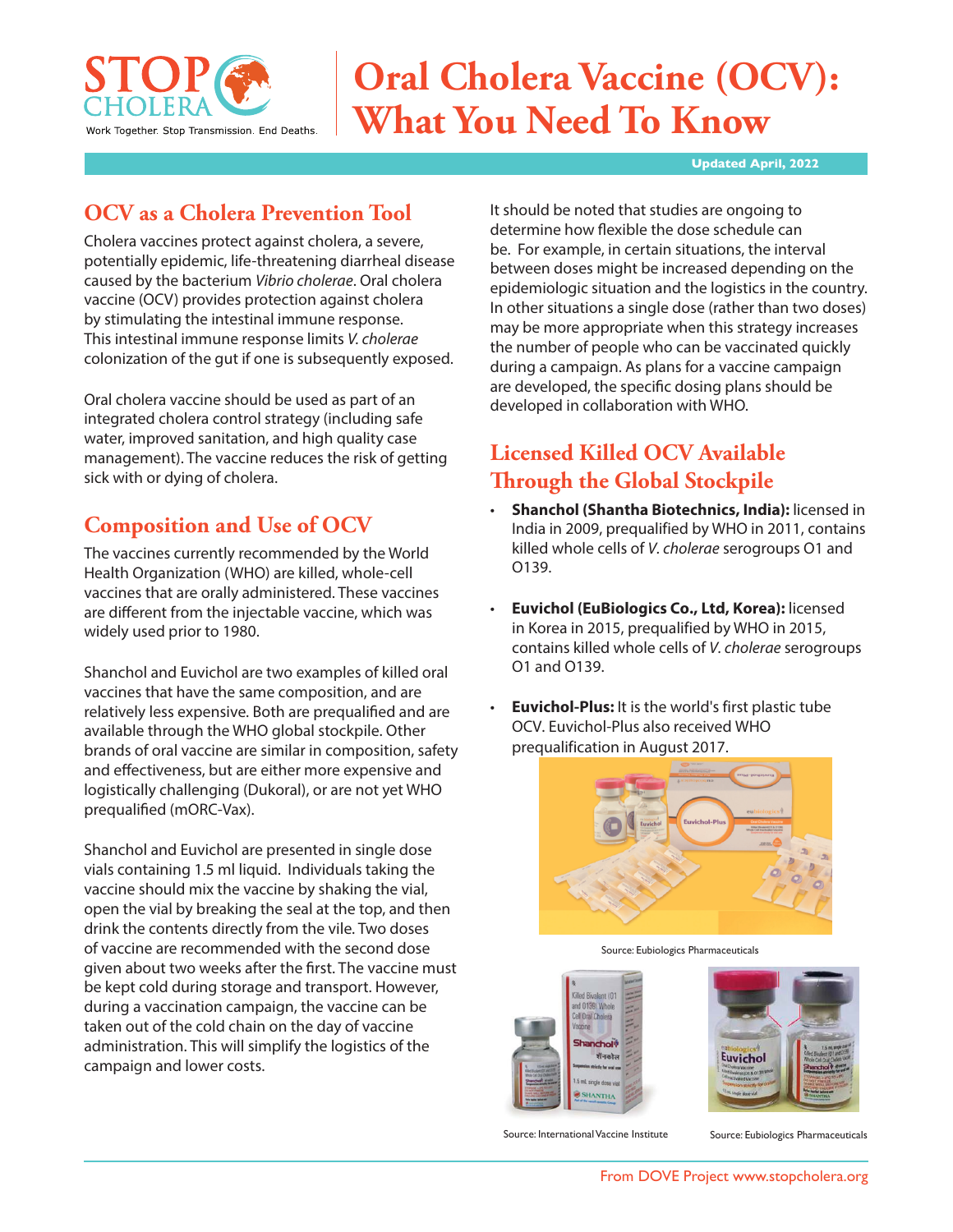

# **Oral Cholera Vaccine (OCV): What You Need To Know**

#### **Updated April, 2022**

# **OCV as a Cholera Prevention Tool**

Cholera vaccines protect against cholera, a severe, potentially epidemic, life-threatening diarrheal disease caused by the bacterium *Vibrio cholerae*. Oral cholera vaccine (OCV) provides protection against cholera by stimulating the intestinal immune response. This intestinal immune response limits *V. cholerae* colonization of the gut if one is subsequently exposed.

Oral cholera vaccine should be used as part of an integrated cholera control strategy (including safe water, improved sanitation, and high quality case management). The vaccine reduces the risk of getting sick with or dying of cholera.

# **Composition and Use of OCV**

The vaccines currently recommended by the World Health Organization (WHO) are killed, whole-cell vaccines that are orally administered. These vaccines are different from the injectable vaccine, which was widely used prior to 1980.

Shanchol and Euvichol are two examples of killed oral vaccines that have the same composition, and are relatively less expensive. Both are prequalified and are available through the WHO global stockpile. Other brands of oral vaccine are similar in composition, safety and effectiveness, but are either more expensive and logistically challenging (Dukoral), or are not yet WHO prequalified (mORC-Vax).

Shanchol and Euvichol are presented in single dose vials containing 1.5 ml liquid. Individuals taking the vaccine should mix the vaccine by shaking the vial, open the vial by breaking the seal at the top, and then drink the contents directly from the vile. Two doses of vaccine are recommended with the second dose given about two weeks after the first. The vaccine must be kept cold during storage and transport. However, during a vaccination campaign, the vaccine can be taken out of the cold chain on the day of vaccine administration. This will simplify the logistics of the campaign and lower costs.

It should be noted that studies are ongoing to determine how flexible the dose schedule can be. For example, in certain situations, the interval between doses might be increased depending on the epidemiologic situation and the logistics in the country. In other situations a single dose (rather than two doses) may be more appropriate when this strategy increases the number of people who can be vaccinated quickly during a campaign. As plans for a vaccine campaign are developed, the specific dosing plans should be developed in collaboration with WHO.

# **Licensed Killed OCV Available Through the Global Stockpile**

- **Shanchol (Shantha Biotechnics, India):** licensed in India in 2009, prequalified by WHO in 2011, contains killed whole cells of *V. cholerae* serogroups O1 and O139.
- **Euvichol (EuBiologics Co., Ltd, Korea):** licensed in Korea in 2015, prequalified by WHO in 2015, contains killed whole cells of *V. cholerae* serogroups O1 and O139.
- **Euvichol-Plus:** It is the world's first plastic tube OCV. Euvichol-Plus also received WHO prequalification in August 2017.



Source: Eubiologics Pharmaceuticals





Source: International Vaccine Institute Source: Eubiologics Pharmaceuticals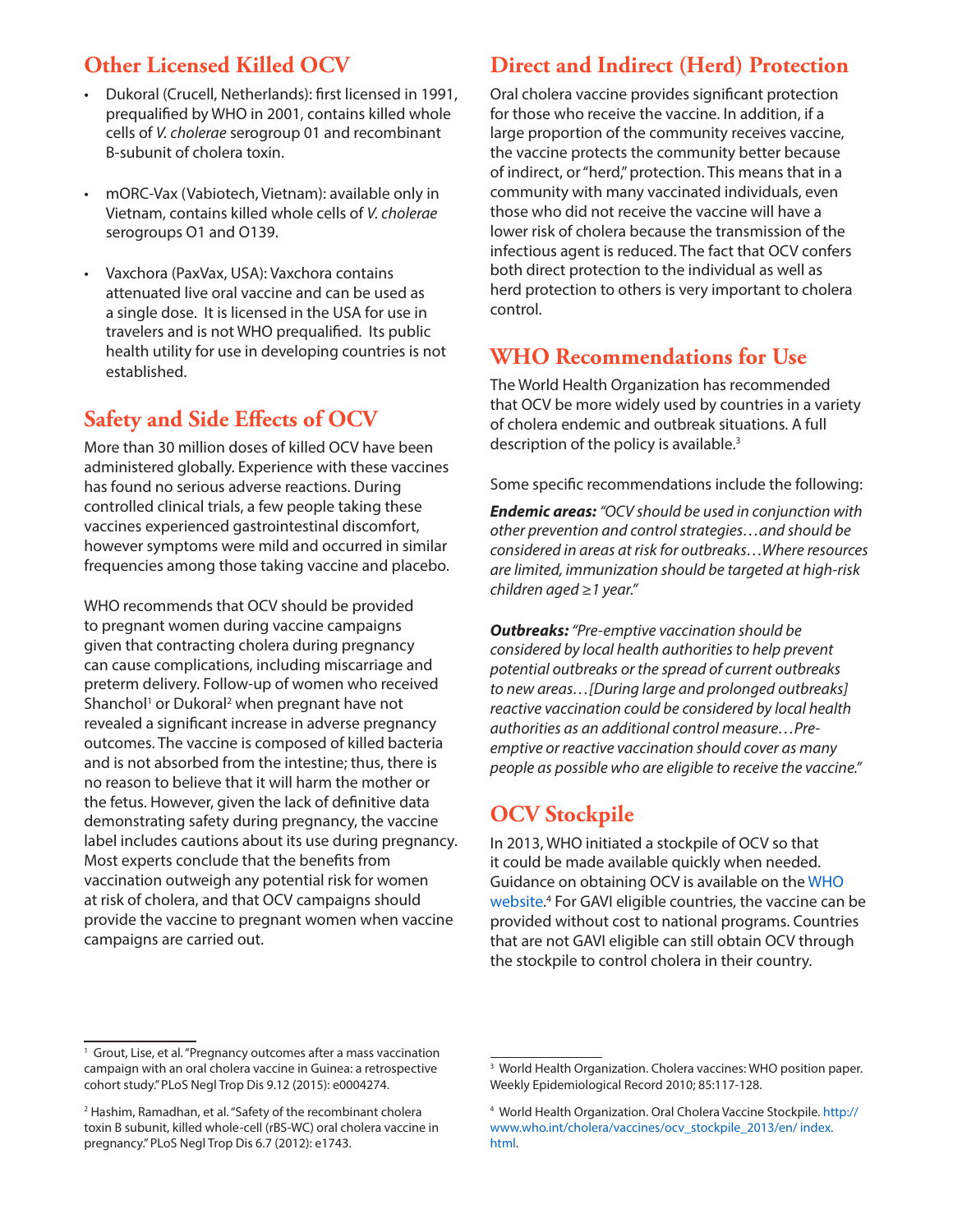# **Other Licensed Killed OCV**

- Dukoral (Crucell, Netherlands): first licensed in 1991, prequalified by WHO in 2001, contains killed whole cells of *V. cholerae* serogroup 01 and recombinant B-subunit of cholera toxin.
- mORC-Vax (Vabiotech, Vietnam): available only in Vietnam, contains killed whole cells of *V. cholerae* serogroups O1 and O139.
- Vaxchora (PaxVax, USA): Vaxchora contains attenuated live oral vaccine and can be used as a single dose. It is licensed in the USA for use in travelers and is not WHO prequalified. Its public health utility for use in developing countries is not established.

### **Safety and Side Effects of OCV**

More than 30 million doses of killed OCV have been administered globally. Experience with these vaccines has found no serious adverse reactions. During controlled clinical trials, a few people taking these vaccines experienced gastrointestinal discomfort, however symptoms were mild and occurred in similar frequencies among those taking vaccine and placebo.

WHO recommends that OCV should be provided to pregnant women during vaccine campaigns given that contracting cholera during pregnancy can cause complications, including miscarriage and preterm delivery. Follow-up of women who received Shanchol<sup>1</sup> or Dukoral<sup>2</sup> when pregnant have not revealed a significant increase in adverse pregnancy outcomes. The vaccine is composed of killed bacteria and is not absorbed from the intestine; thus, there is no reason to believe that it will harm the mother or the fetus. However, given the lack of definitive data demonstrating safety during pregnancy, the vaccine label includes cautions about its use during pregnancy. Most experts conclude that the benefits from vaccination outweigh any potential risk for women at risk of cholera, and that OCV campaigns should provide the vaccine to pregnant women when vaccine campaigns are carried out.

#### **Direct and Indirect (Herd) Protection**

Oral cholera vaccine provides significant protection for those who receive the vaccine. In addition, if a large proportion of the community receives vaccine, the vaccine protects the community better because of indirect, or "herd," protection. This means that in a community with many vaccinated individuals, even those who did not receive the vaccine will have a lower risk of cholera because the transmission of the infectious agent is reduced. The fact that OCV confers both direct protection to the individual as well as herd protection to others is very important to cholera control.

#### **WHO Recommendations for Use**

The World Health Organization has recommended that OCV be more widely used by countries in a variety of cholera endemic and outbreak situations. A full description of the policy is available.<sup>3</sup>

Some specific recommendations include the following:

*Endemic areas: "OCV should be used in conjunction with other prevention and control strategies…and should be considered in areas at risk for outbreaks…Where resources are limited, immunization should be targeted at high-risk children aged ≥1 year."* 

*Outbreaks: "Pre-emptive vaccination should be considered by local health authorities to help prevent potential outbreaks or the spread of current outbreaks to new areas…[During large and prolonged outbreaks] reactive vaccination could be considered by local health authorities as an additional control measure…Preemptive or reactive vaccination should cover as many people as possible who are eligible to receive the vaccine."* 

# **OCV Stockpile**

In 2013, WHO initiated a stockpile of OCV so that it could be made available quickly when needed. Guidance on obtaining OCV is available on the WHO website. 4 For GAVI eligible countries, the vaccine can be provided without cost to national programs. Countries that are not GAVI eligible can still obtain OCV through the stockpile to control cholera in their country.

<sup>&</sup>lt;sup>1</sup> Grout, Lise, et al. "Pregnancy outcomes after a mass vaccination campaign with an oral cholera vaccine in Guinea: a retrospective cohort study." PLoS Negl Trop Dis 9.12 (2015): e0004274.

<sup>&</sup>lt;sup>2</sup> Hashim, Ramadhan, et al. "Safety of the recombinant cholera toxin B subunit, killed whole-cell (rBS-WC) oral cholera vaccine in pregnancy." PLoS Negl Trop Dis 6.7 (2012): e1743.

<sup>&</sup>lt;sup>3</sup> World Health Organization. Cholera vaccines: WHO position paper. Weekly Epidemiological Record 2010; 85:117-128.

<sup>&</sup>lt;sup>4</sup> World Health Organization. Oral Cholera Vaccine Stockpile. [http://](http://www.who.int/cholera/vaccines/ocv_stockpile_2013/en/%20index.html) [www.who.int/cholera/vaccines/ocv\\_stockpile\\_2013/en/ index.](http://www.who.int/cholera/vaccines/ocv_stockpile_2013/en/%20index.html) [html.](http://www.who.int/cholera/vaccines/ocv_stockpile_2013/en/%20index.html)